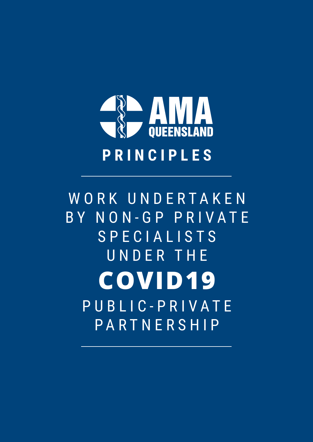

WORK UNDERTAKEN B Y N O N - G P P R I V A T E SPECIALISTS UNDER THE P U B L I C - P R I V A T E PARTNERSHIP **COVID19**